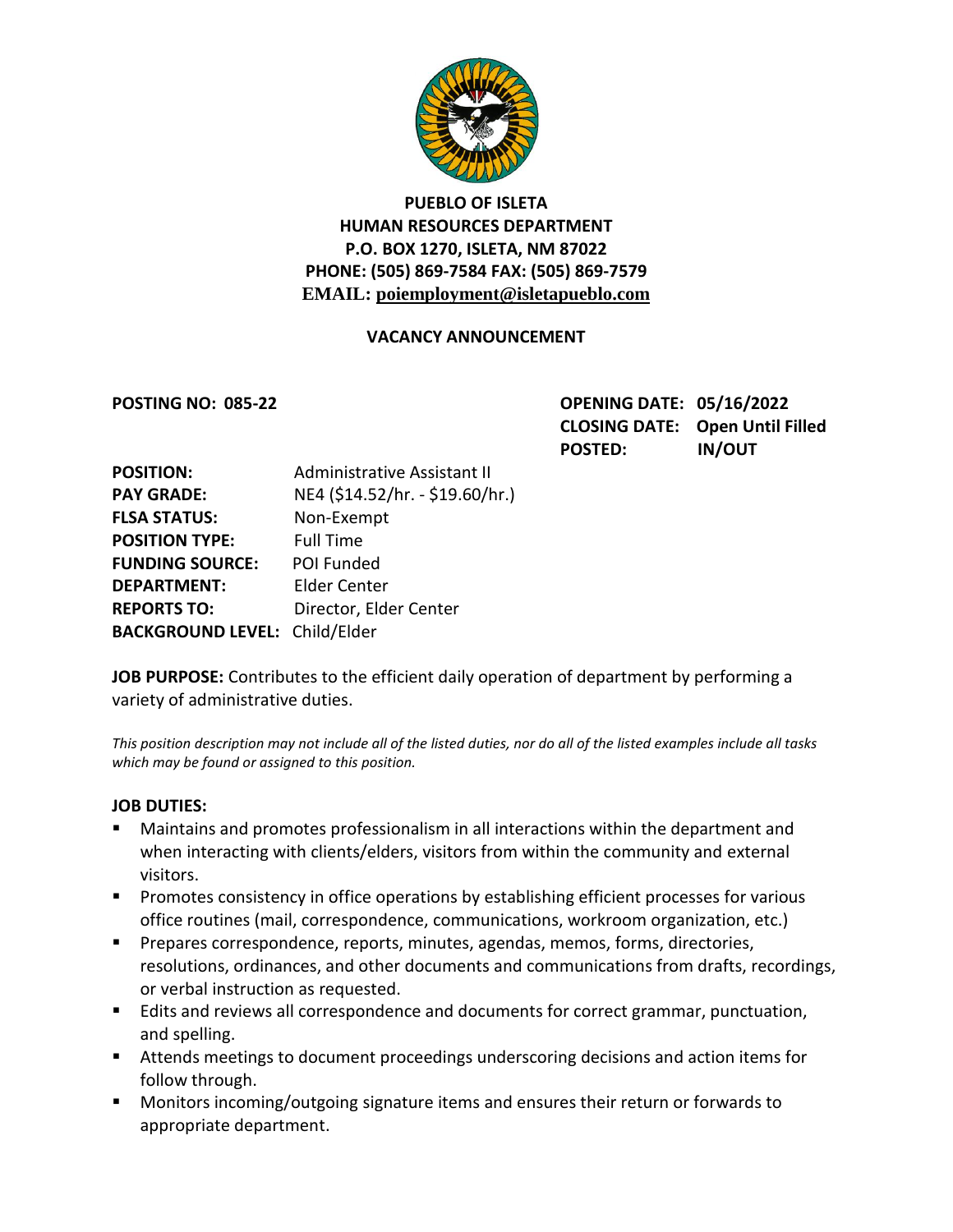

# **PUEBLO OF ISLETA HUMAN RESOURCES DEPARTMENT P.O. BOX 1270, ISLETA, NM 87022 PHONE: (505) 869-7584 FAX: (505) 869-7579 EMAIL: poiemployment@isletapueblo.com**

### **VACANCY ANNOUNCEMENT**

**POSTING NO: 085-22 OPENING DATE: 05/16/2022 CLOSING DATE: Open Until Filled POSTED: IN/OUT**

| <b>POSITION:</b>                     | Administrative Assistant II     |
|--------------------------------------|---------------------------------|
| <b>PAY GRADE:</b>                    | NE4 (\$14.52/hr. - \$19.60/hr.) |
| <b>FLSA STATUS:</b>                  | Non-Exempt                      |
| <b>POSITION TYPE:</b>                | <b>Full Time</b>                |
| <b>FUNDING SOURCE:</b>               | POI Funded                      |
| <b>DEPARTMENT:</b>                   | <b>Elder Center</b>             |
| <b>REPORTS TO:</b>                   | Director, Elder Center          |
| <b>BACKGROUND LEVEL: Child/Elder</b> |                                 |

**JOB PURPOSE:** Contributes to the efficient daily operation of department by performing a variety of administrative duties.

*This position description may not include all of the listed duties, nor do all of the listed examples include all tasks which may be found or assigned to this position.*

#### **JOB DUTIES:**

- Maintains and promotes professionalism in all interactions within the department and when interacting with clients/elders, visitors from within the community and external visitors.
- **Promotes consistency in office operations by establishing efficient processes for various** office routines (mail, correspondence, communications, workroom organization, etc.)
- **Prepares correspondence, reports, minutes, agendas, memos, forms, directories,** resolutions, ordinances, and other documents and communications from drafts, recordings, or verbal instruction as requested.
- **Edits and reviews all correspondence and documents for correct grammar, punctuation,** and spelling.
- Attends meetings to document proceedings underscoring decisions and action items for follow through.
- **Monitors incoming/outgoing signature items and ensures their return or forwards to** appropriate department.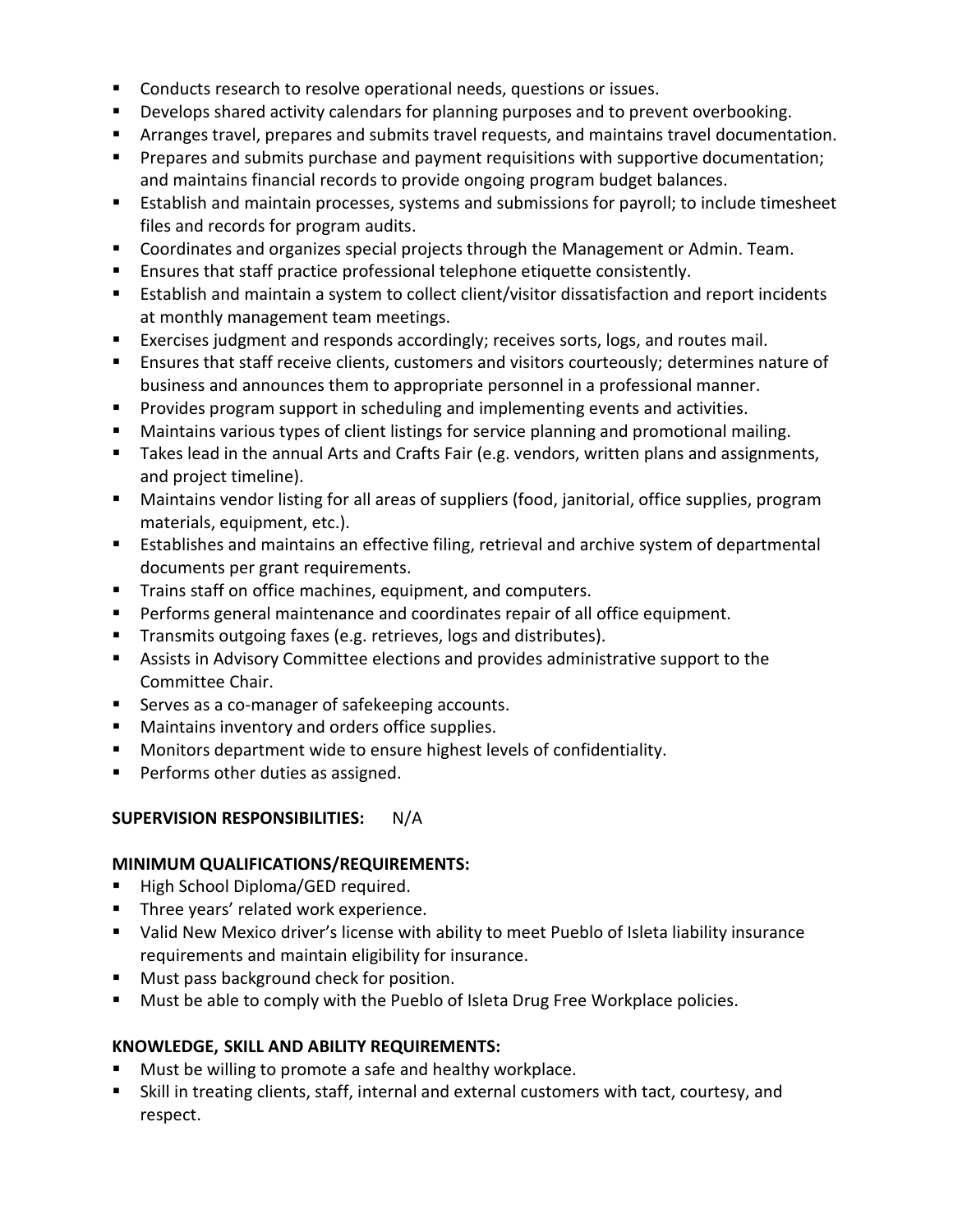- **Conducts research to resolve operational needs, questions or issues.**
- **Develops shared activity calendars for planning purposes and to prevent overbooking.**
- Arranges travel, prepares and submits travel requests, and maintains travel documentation.
- **Prepares and submits purchase and payment requisitions with supportive documentation;** and maintains financial records to provide ongoing program budget balances.
- Establish and maintain processes, systems and submissions for payroll; to include timesheet files and records for program audits.
- **Coordinates and organizes special projects through the Management or Admin. Team.**
- Ensures that staff practice professional telephone etiquette consistently.
- **Establish and maintain a system to collect client/visitor dissatisfaction and report incidents** at monthly management team meetings.
- Exercises judgment and responds accordingly; receives sorts, logs, and routes mail.
- **Ensures that staff receive clients, customers and visitors courteously; determines nature of** business and announces them to appropriate personnel in a professional manner.
- **Provides program support in scheduling and implementing events and activities.**
- Maintains various types of client listings for service planning and promotional mailing.
- **Takes lead in the annual Arts and Crafts Fair (e.g. vendors, written plans and assignments,** and project timeline).
- Maintains vendor listing for all areas of suppliers (food, janitorial, office supplies, program materials, equipment, etc.).
- **E** Establishes and maintains an effective filing, retrieval and archive system of departmental documents per grant requirements.
- **Trains staff on office machines, equipment, and computers.**
- **Performs general maintenance and coordinates repair of all office equipment.**
- **Transmits outgoing faxes (e.g. retrieves, logs and distributes).**
- Assists in Advisory Committee elections and provides administrative support to the Committee Chair.
- Serves as a co-manager of safekeeping accounts.
- **Maintains inventory and orders office supplies.**
- **Monitors department wide to ensure highest levels of confidentiality.**
- **Performs other duties as assigned.**

#### **SUPERVISION RESPONSIBILITIES:** N/A

#### **MINIMUM QUALIFICATIONS/REQUIREMENTS:**

- **High School Diploma/GED required.**
- **Three years' related work experience.**
- Valid New Mexico driver's license with ability to meet Pueblo of Isleta liability insurance requirements and maintain eligibility for insurance.
- **Must pass background check for position.**
- **Must be able to comply with the Pueblo of Isleta Drug Free Workplace policies.**

## **KNOWLEDGE, SKILL AND ABILITY REQUIREMENTS:**

- **Must be willing to promote a safe and healthy workplace.**
- Skill in treating clients, staff, internal and external customers with tact, courtesy, and respect.